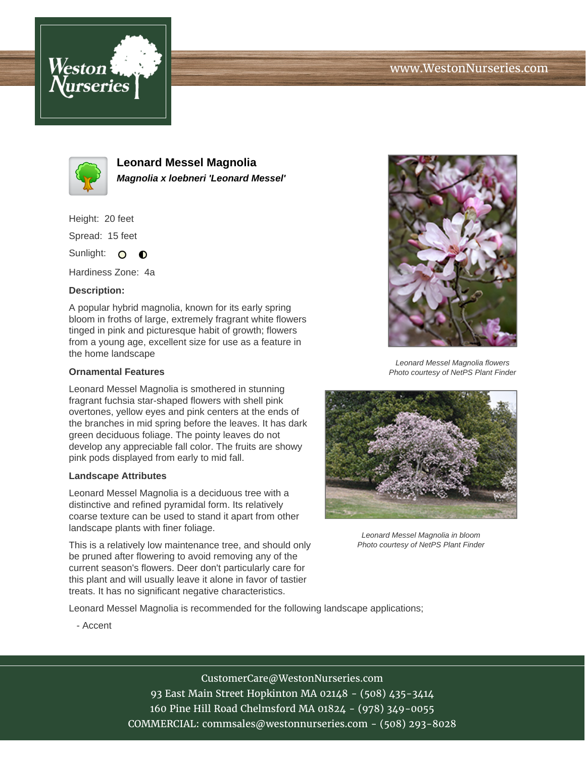



**Leonard Messel Magnolia Magnolia x loebneri 'Leonard Messel'**

Height: 20 feet

Spread: 15 feet

Sunlight: O  $\bullet$ 

Hardiness Zone: 4a

## **Description:**

A popular hybrid magnolia, known for its early spring bloom in froths of large, extremely fragrant white flowers tinged in pink and picturesque habit of growth; flowers from a young age, excellent size for use as a feature in the home landscape

## **Ornamental Features**

Leonard Messel Magnolia is smothered in stunning fragrant fuchsia star-shaped flowers with shell pink overtones, yellow eyes and pink centers at the ends of the branches in mid spring before the leaves. It has dark green deciduous foliage. The pointy leaves do not develop any appreciable fall color. The fruits are showy pink pods displayed from early to mid fall.

## **Landscape Attributes**

Leonard Messel Magnolia is a deciduous tree with a distinctive and refined pyramidal form. Its relatively coarse texture can be used to stand it apart from other landscape plants with finer foliage.

This is a relatively low maintenance tree, and should only be pruned after flowering to avoid removing any of the current season's flowers. Deer don't particularly care for this plant and will usually leave it alone in favor of tastier treats. It has no significant negative characteristics.



Leonard Messel Magnolia flowers Photo courtesy of NetPS Plant Finder



Leonard Messel Magnolia in bloom Photo courtesy of NetPS Plant Finder

Leonard Messel Magnolia is recommended for the following landscape applications;

- Accent

# CustomerCare@WestonNurseries.com

93 East Main Street Hopkinton MA 02148 - (508) 435-3414 160 Pine Hill Road Chelmsford MA 01824 - (978) 349-0055 COMMERCIAL: commsales@westonnurseries.com - (508) 293-8028